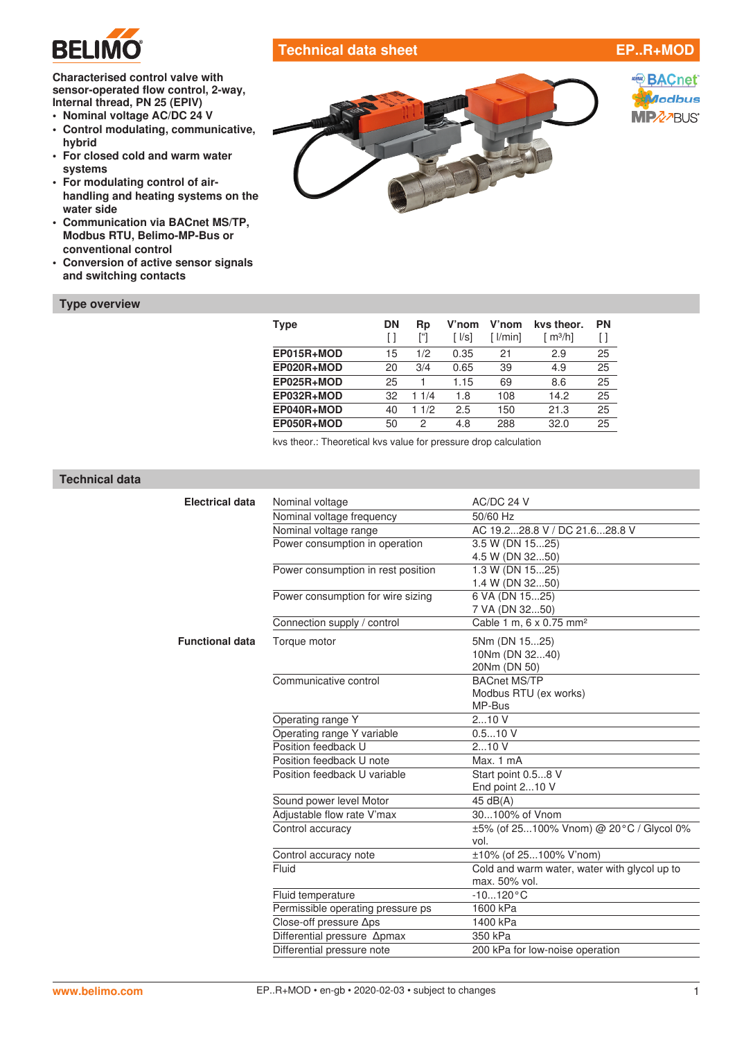

# **Technical data sheet EP..R+MOD**

**Characterised control valve with sensor-operated flow control, 2-way, Internal thread, PN 25 (EPIV)**

- **• Nominal voltage AC/DC 24 V**
- **• Control modulating, communicative, hybrid**
- **• For closed cold and warm water systems**
- **• For modulating control of airhandling and heating systems on the water side**
- **• Communication via BACnet MS/TP, Modbus RTU, Belimo-MP-Bus or conventional control**
- **• Conversion of active sensor signals and switching contacts**

#### **Type overview**



**SACnet** Modbus **MPZZBUS** 

| Type       | <b>DN</b> | Rp<br>["] | V'nom<br>$\lceil \sqrt{ S } \rceil$ | V'nom<br>$\lceil \text{l/min} \rceil$ | kys theor.<br>$\lceil m^3/h \rceil$ | <b>PN</b><br>Ħ |
|------------|-----------|-----------|-------------------------------------|---------------------------------------|-------------------------------------|----------------|
| EP015R+MOD | 15        | 1/2       | 0.35                                | 21                                    | 2.9                                 | 25             |
| EP020R+MOD | 20        | 3/4       | 0.65                                | 39                                    | 4.9                                 | 25             |
| EP025R+MOD | 25        |           | 1.15                                | 69                                    | 8.6                                 | 25             |
| EP032R+MOD | 32        | 11/4      | 1.8                                 | 108                                   | 14.2                                | 25             |
| EP040R+MOD | 40        | 1/2<br>1. | 2.5                                 | 150                                   | 21.3                                | 25             |
| EP050R+MOD | 50        | 2         | 4.8                                 | 288                                   | 32.0                                | 25             |

kvs theor.: Theoretical kvs value for pressure drop calculation

## **Technical data**

| <b>Electrical data</b> | Nominal voltage                    | AC/DC 24 V                                   |
|------------------------|------------------------------------|----------------------------------------------|
|                        | Nominal voltage frequency          | 50/60 Hz                                     |
|                        | Nominal voltage range              | AC 19.228.8 V / DC 21.628.8 V                |
|                        | Power consumption in operation     | 3.5 W (DN 1525)                              |
|                        |                                    | 4.5 W (DN 3250)                              |
|                        | Power consumption in rest position | 1.3 W (DN 1525)                              |
|                        |                                    | 1.4 W (DN 3250)                              |
|                        | Power consumption for wire sizing  | 6 VA (DN 1525)                               |
|                        |                                    | 7 VA (DN 3250)                               |
|                        | Connection supply / control        | Cable 1 m, 6 x 0.75 mm <sup>2</sup>          |
| <b>Functional data</b> | Torque motor                       | 5Nm (DN 1525)                                |
|                        |                                    | 10Nm (DN 3240)                               |
|                        |                                    | 20Nm (DN 50)                                 |
|                        | Communicative control              | <b>BACnet MS/TP</b>                          |
|                        |                                    | Modbus RTU (ex works)                        |
|                        |                                    | MP-Bus                                       |
|                        | Operating range Y                  | 210V                                         |
|                        | Operating range Y variable         | 0.510V                                       |
|                        | Position feedback U                | 210V                                         |
|                        | Position feedback U note           | Max. 1 mA                                    |
|                        | Position feedback U variable       | Start point 0.58 V                           |
|                        |                                    | End point 210 V                              |
|                        | Sound power level Motor            | 45 dB(A)                                     |
|                        | Adjustable flow rate V'max         | 30100% of Vnom                               |
|                        | Control accuracy                   | ±5% (of 25100% Vnom) @ 20°C / Glycol 0%      |
|                        |                                    | vol.                                         |
|                        | Control accuracy note              | ±10% (of 25100% V'nom)                       |
|                        | Fluid                              | Cold and warm water, water with glycol up to |
|                        |                                    | max. 50% vol.                                |
|                        | Fluid temperature                  | $-10120 °C$                                  |
|                        | Permissible operating pressure ps  | 1600 kPa                                     |
|                        | Close-off pressure ∆ps             | 1400 kPa                                     |
|                        | Differential pressure Apmax        | 350 kPa                                      |
|                        | Differential pressure note         | 200 kPa for low-noise operation              |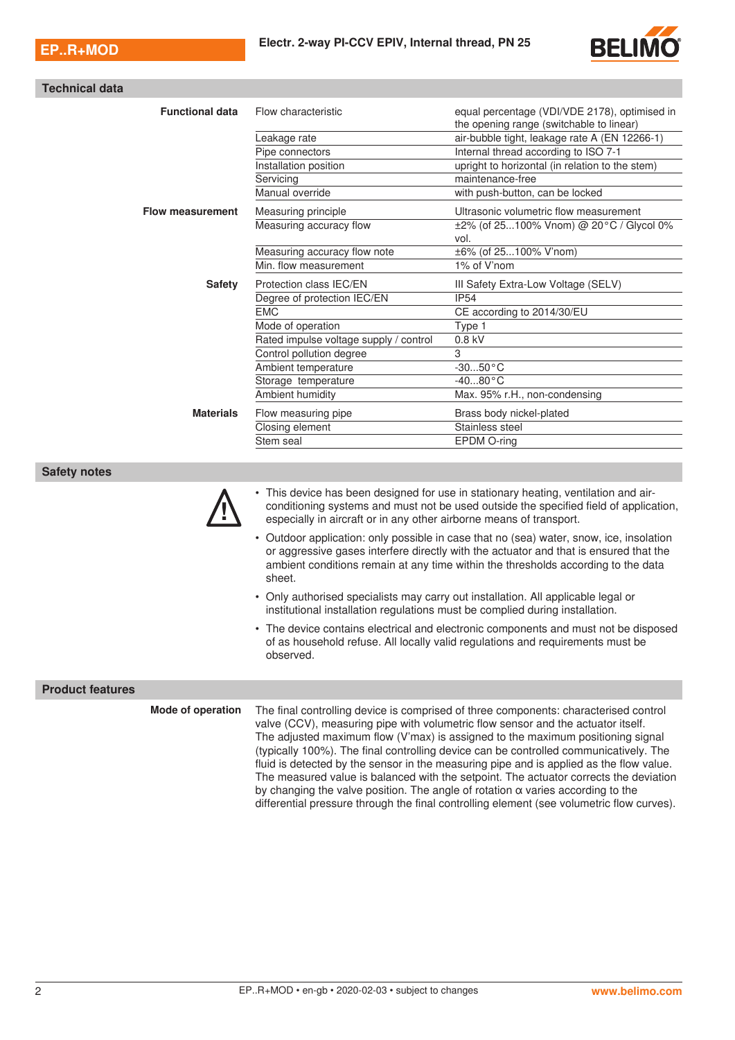

|  | <b>Technical data</b> |
|--|-----------------------|
|  |                       |
|  |                       |
|  |                       |
|  |                       |

| <b>Functional data</b>  | Flow characteristic                                                          | equal percentage (VDI/VDE 2178), optimised in<br>the opening range (switchable to linear)                                                                                                                                                                             |  |  |  |
|-------------------------|------------------------------------------------------------------------------|-----------------------------------------------------------------------------------------------------------------------------------------------------------------------------------------------------------------------------------------------------------------------|--|--|--|
|                         | Leakage rate                                                                 | air-bubble tight, leakage rate A (EN 12266-1)                                                                                                                                                                                                                         |  |  |  |
|                         | Pipe connectors                                                              | Internal thread according to ISO 7-1                                                                                                                                                                                                                                  |  |  |  |
|                         | Installation position                                                        | upright to horizontal (in relation to the stem)                                                                                                                                                                                                                       |  |  |  |
|                         | Servicing                                                                    | maintenance-free                                                                                                                                                                                                                                                      |  |  |  |
|                         | Manual override                                                              | with push-button, can be locked                                                                                                                                                                                                                                       |  |  |  |
| <b>Flow measurement</b> | Measuring principle                                                          | Ultrasonic volumetric flow measurement                                                                                                                                                                                                                                |  |  |  |
|                         | Measuring accuracy flow                                                      | ±2% (of 25100% Vnom) @ 20°C / Glycol 0%                                                                                                                                                                                                                               |  |  |  |
|                         |                                                                              | vol.                                                                                                                                                                                                                                                                  |  |  |  |
|                         | Measuring accuracy flow note                                                 | ±6% (of 25100% V'nom)                                                                                                                                                                                                                                                 |  |  |  |
|                         | Min. flow measurement                                                        | 1% of V'nom                                                                                                                                                                                                                                                           |  |  |  |
| <b>Safety</b>           | Protection class IEC/EN                                                      | III Safety Extra-Low Voltage (SELV)                                                                                                                                                                                                                                   |  |  |  |
|                         | Degree of protection IEC/EN                                                  | <b>IP54</b>                                                                                                                                                                                                                                                           |  |  |  |
|                         | <b>EMC</b>                                                                   | CE according to 2014/30/EU                                                                                                                                                                                                                                            |  |  |  |
|                         | Mode of operation                                                            | Type 1                                                                                                                                                                                                                                                                |  |  |  |
|                         | Rated impulse voltage supply / control                                       | 0.8 kV                                                                                                                                                                                                                                                                |  |  |  |
|                         | Control pollution degree                                                     | 3                                                                                                                                                                                                                                                                     |  |  |  |
|                         | Ambient temperature                                                          | $-3050$ °C                                                                                                                                                                                                                                                            |  |  |  |
|                         | Storage temperature                                                          | $-4080 °C$                                                                                                                                                                                                                                                            |  |  |  |
|                         | Ambient humidity                                                             | Max. 95% r.H., non-condensing                                                                                                                                                                                                                                         |  |  |  |
| <b>Materials</b>        | Flow measuring pipe                                                          | Brass body nickel-plated                                                                                                                                                                                                                                              |  |  |  |
|                         | Closing element                                                              | Stainless steel                                                                                                                                                                                                                                                       |  |  |  |
|                         | Stem seal                                                                    | EPDM O-ring                                                                                                                                                                                                                                                           |  |  |  |
|                         |                                                                              |                                                                                                                                                                                                                                                                       |  |  |  |
| <b>Safety notes</b>     |                                                                              |                                                                                                                                                                                                                                                                       |  |  |  |
|                         | especially in aircraft or in any other airborne means of transport.          | • This device has been designed for use in stationary heating, ventilation and air-<br>conditioning systems and must not be used outside the specified field of application,                                                                                          |  |  |  |
|                         | sheet.                                                                       | • Outdoor application: only possible in case that no (sea) water, snow, ice, insolation<br>or aggressive gases interfere directly with the actuator and that is ensured that the<br>ambient conditions remain at any time within the thresholds according to the data |  |  |  |
|                         | institutional installation regulations must be complied during installation. | • Only authorised specialists may carry out installation. All applicable legal or                                                                                                                                                                                     |  |  |  |
|                         |                                                                              | • The device contains electrical and electronic components and must not be disposed<br>of as household refuse. All locally valid regulations and requirements must be                                                                                                 |  |  |  |

#### **Product features**

observed.

**Mode of operation** The final controlling device is comprised of three components: characterised control valve (CCV), measuring pipe with volumetric flow sensor and the actuator itself. The adjusted maximum flow (V'max) is assigned to the maximum positioning signal (typically 100%). The final controlling device can be controlled communicatively. The fluid is detected by the sensor in the measuring pipe and is applied as the flow value. The measured value is balanced with the setpoint. The actuator corrects the deviation by changing the valve position. The angle of rotation  $\alpha$  varies according to the differential pressure through the final controlling element (see volumetric flow curves).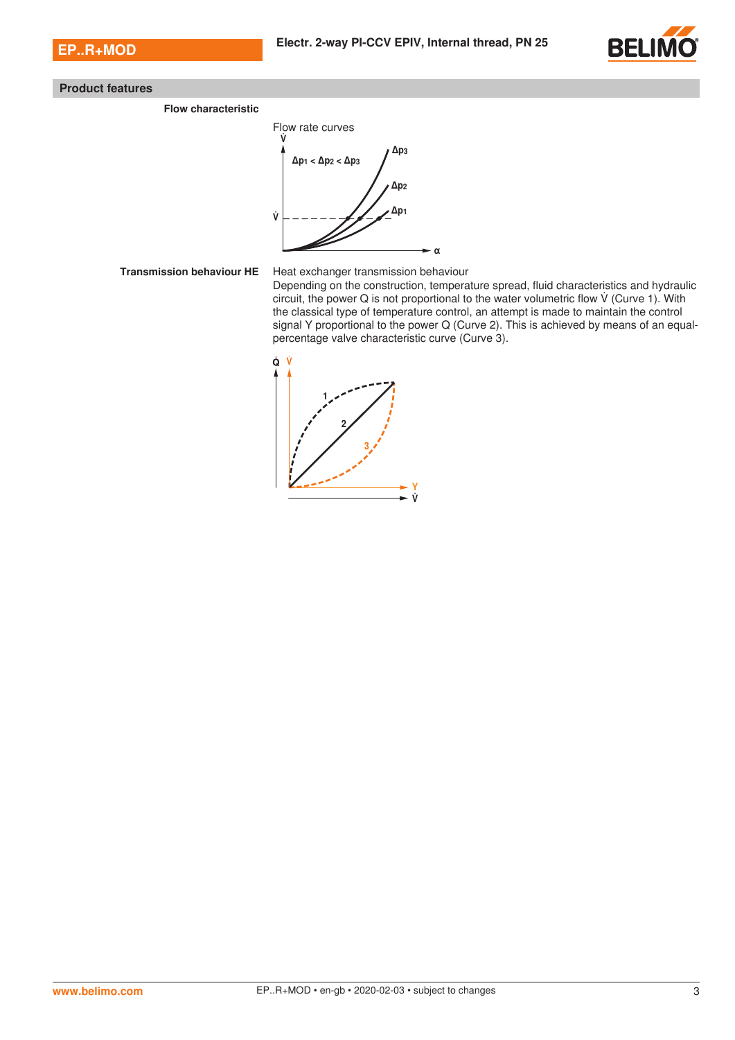

## **Product features**

**Flow characteristic**



## **Transmission behaviour HE** Heat exchanger transmission behaviour

Depending on the construction, temperature spread, fluid characteristics and hydraulic circuit, the power Q is not proportional to the water volumetric flow (Curve 1). With the classical type of temperature control, an attempt is made to maintain the control signal Y proportional to the power Q (Curve 2). This is achieved by means of an equalpercentage valve characteristic curve (Curve 3).

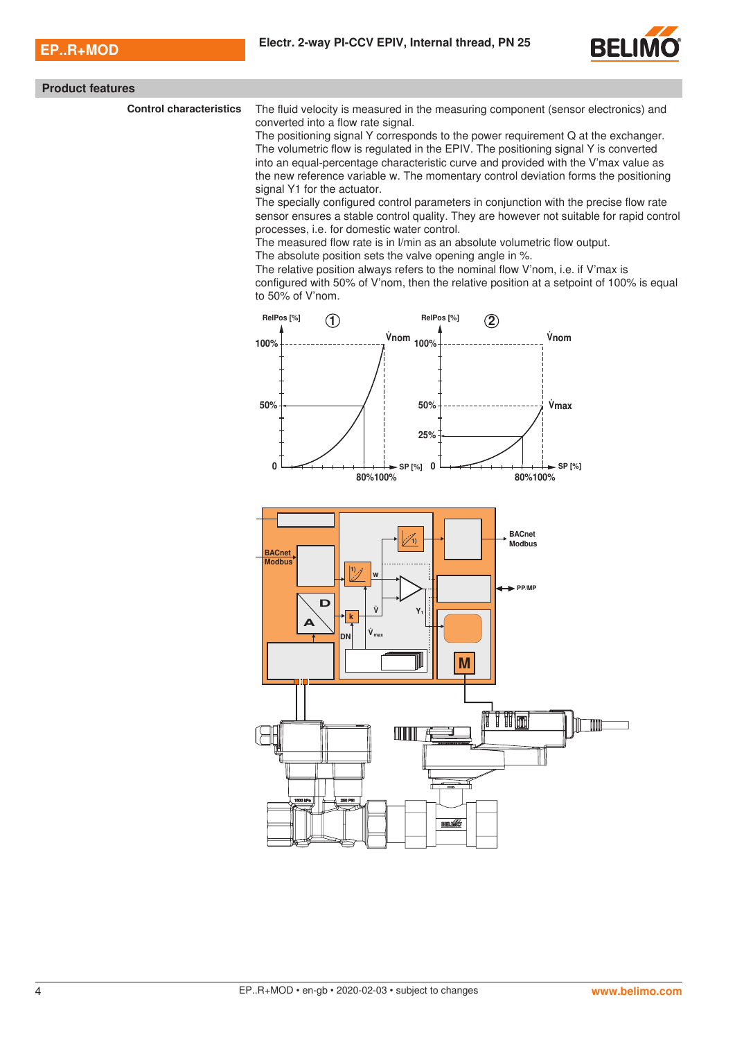

|  | <b>Product features</b> |  |  |
|--|-------------------------|--|--|
|--|-------------------------|--|--|

**Control characteristics** The fluid velocity is measured in the measuring component (sensor electronics) and converted into a flow rate signal.

The positioning signal Y corresponds to the power requirement Q at the exchanger. The volumetric flow is regulated in the EPIV. The positioning signal Y is converted into an equal-percentage characteristic curve and provided with the V'max value as the new reference variable w. The momentary control deviation forms the positioning signal Y1 for the actuator.

The specially configured control parameters in conjunction with the precise flow rate sensor ensures a stable control quality. They are however not suitable for rapid control processes, i.e. for domestic water control.

The measured flow rate is in l/min as an absolute volumetric flow output.

The absolute position sets the valve opening angle in %.

The relative position always refers to the nominal flow V'nom, i.e. if V'max is configured with 50% of V'nom, then the relative position at a setpoint of 100% is equal

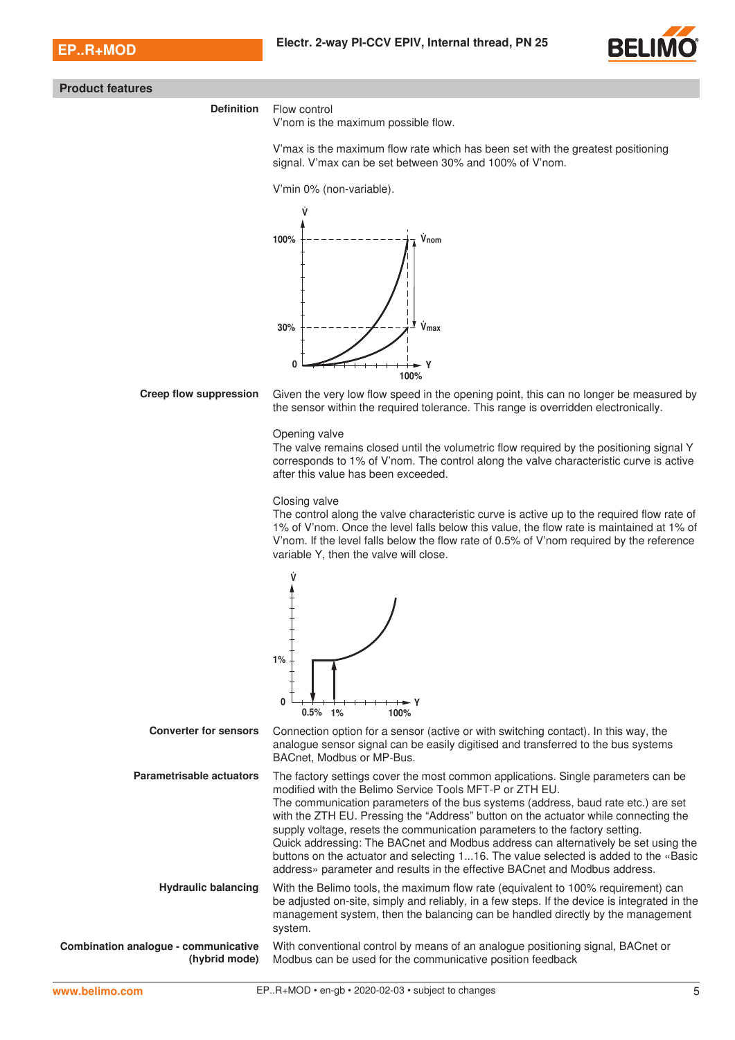

#### **Product features**

## **Definition** Flow control

V'nom is the maximum possible flow.

V'max is the maximum flow rate which has been set with the greatest positioning signal. V'max can be set between 30% and 100% of V'nom.

V'min 0% (non-variable).



**Creep flow suppression** Given the very low flow speed in the opening point, this can no longer be measured by the sensor within the required tolerance. This range is overridden electronically.

Opening valve

The valve remains closed until the volumetric flow required by the positioning signal Y corresponds to 1% of V'nom. The control along the valve characteristic curve is active after this value has been exceeded.

#### Closing valve

The control along the valve characteristic curve is active up to the required flow rate of 1% of V'nom. Once the level falls below this value, the flow rate is maintained at 1% of V'nom. If the level falls below the flow rate of 0.5% of V'nom required by the reference variable Y, then the valve will close.

With conventional control by means of an analogue positioning signal, BACnet or

Modbus can be used for the communicative position feedback



**Combination analogue - communicative (hybrid mode)** system.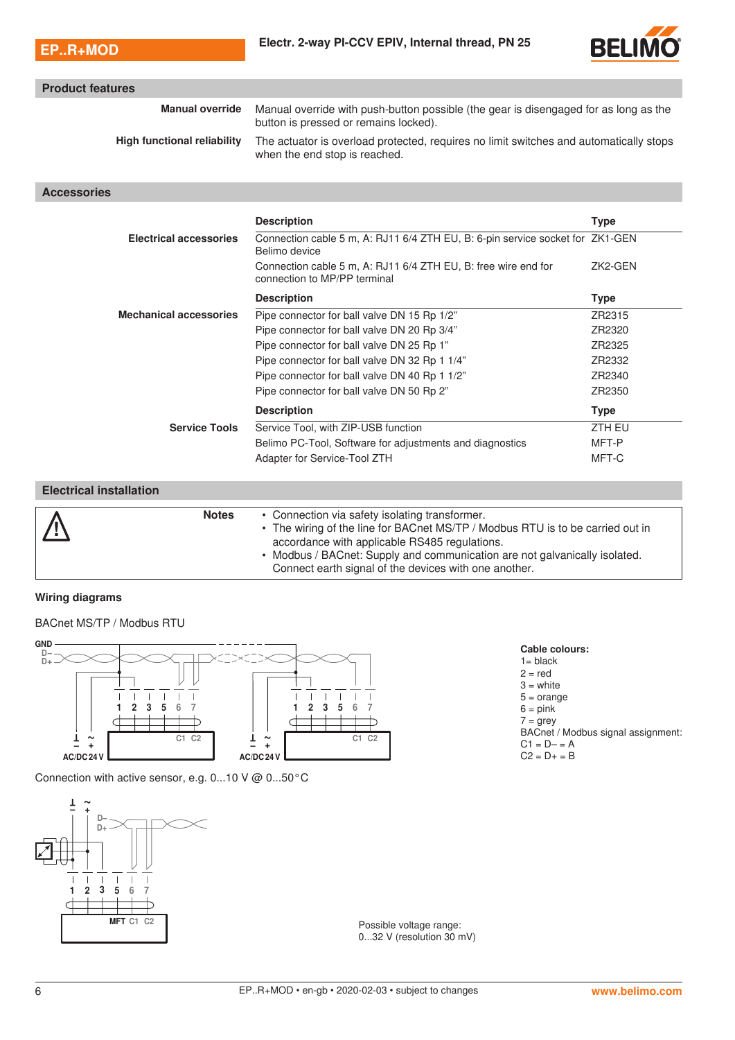

| <b>Product features</b>            |                                                                                                                               |               |  |  |  |  |  |
|------------------------------------|-------------------------------------------------------------------------------------------------------------------------------|---------------|--|--|--|--|--|
| <b>Manual override</b>             | Manual override with push-button possible (the gear is disengaged for as long as the<br>button is pressed or remains locked). |               |  |  |  |  |  |
| <b>High functional reliability</b> | The actuator is overload protected, requires no limit switches and automatically stops<br>when the end stop is reached.       |               |  |  |  |  |  |
| <b>Accessories</b>                 |                                                                                                                               |               |  |  |  |  |  |
|                                    | <b>Description</b>                                                                                                            | <b>Type</b>   |  |  |  |  |  |
| <b>Electrical accessories</b>      | Connection cable 5 m, A: RJ11 6/4 ZTH EU, B: 6-pin service socket for ZK1-GEN<br>Belimo device                                |               |  |  |  |  |  |
|                                    | Connection cable 5 m, A: RJ11 6/4 ZTH EU, B: free wire end for<br>connection to MP/PP terminal                                | ZK2-GEN       |  |  |  |  |  |
|                                    |                                                                                                                               |               |  |  |  |  |  |
|                                    | <b>Description</b>                                                                                                            | <b>Type</b>   |  |  |  |  |  |
| <b>Mechanical accessories</b>      | Pipe connector for ball valve DN 15 Rp 1/2"                                                                                   | ZR2315        |  |  |  |  |  |
|                                    | Pipe connector for ball valve DN 20 Rp 3/4"                                                                                   | ZR2320        |  |  |  |  |  |
|                                    | Pipe connector for ball valve DN 25 Rp 1"                                                                                     | ZR2325        |  |  |  |  |  |
|                                    | Pipe connector for ball valve DN 32 Rp 1 1/4"                                                                                 | ZR2332        |  |  |  |  |  |
|                                    | Pipe connector for ball valve DN 40 Rp 1 1/2"                                                                                 | ZR2340        |  |  |  |  |  |
|                                    | Pipe connector for ball valve DN 50 Rp 2"                                                                                     | ZR2350        |  |  |  |  |  |
|                                    | <b>Description</b>                                                                                                            | <b>Type</b>   |  |  |  |  |  |
| <b>Service Tools</b>               | Service Tool, with ZIP-USB function                                                                                           | <b>ZTH EU</b> |  |  |  |  |  |
|                                    | Belimo PC-Tool, Software for adjustments and diagnostics                                                                      | MFT-P         |  |  |  |  |  |
|                                    | Adapter for Service-Tool ZTH                                                                                                  | MFT-C         |  |  |  |  |  |

| $\frac{1}{\sqrt{2}}$ | <b>Notes</b> | • Connection via safety isolating transformer.<br>• The wiring of the line for BACnet MS/TP / Modbus RTU is to be carried out in<br>accordance with applicable RS485 regulations.<br>Modbus / BACnet: Supply and communication are not galvanically isolated. |
|----------------------|--------------|---------------------------------------------------------------------------------------------------------------------------------------------------------------------------------------------------------------------------------------------------------------|
|                      |              | Connect earth signal of the devices with one another.                                                                                                                                                                                                         |

## **Wiring diagrams**

BACnet MS/TP / Modbus RTU



Connection with active sensor, e.g. 0...10 V @ 0...50°C



Possible voltage range: 0...32 V (resolution 30 mV)

|  |  | Cable colours: |
|--|--|----------------|
|  |  |                |

 $1 =$  black

 $2 = red$ 

 $3$  = white

 $5 = \text{orange}$ 

 $6 = pink$  $7 = \text{grey}$ 

- BACnet / Modbus signal assignment:
- $C1 = D = A$
- $C2 = D + = B$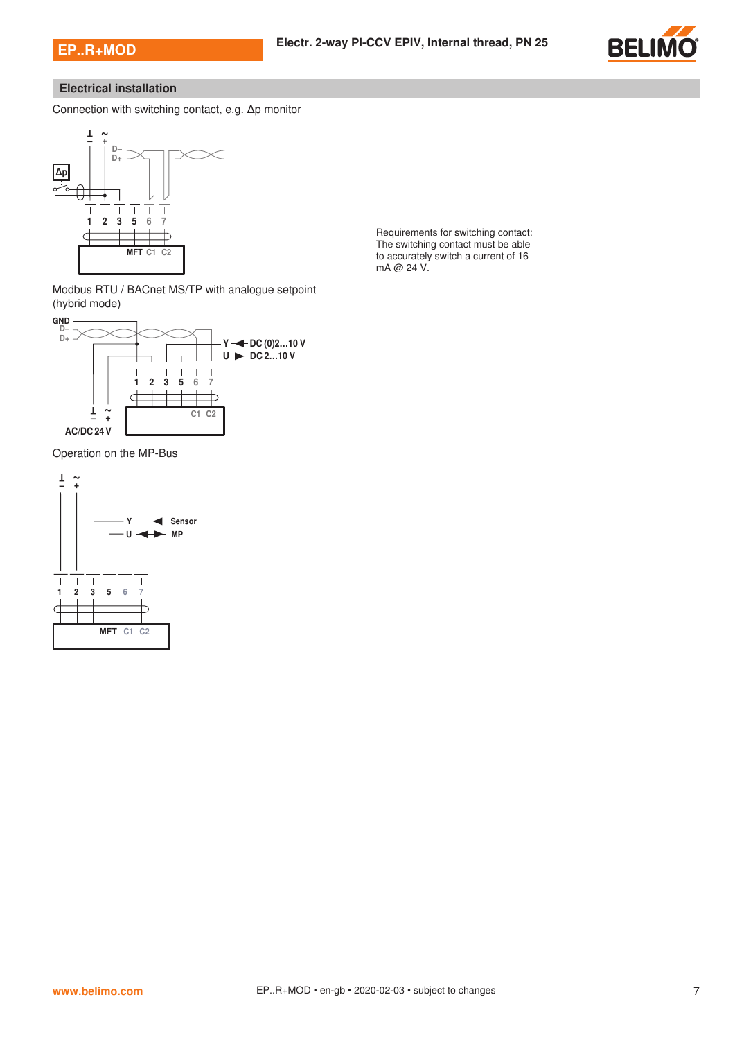

# **Electrical installation**

Connection with switching contact, e.g. Δp monitor



Requirements for switching contact: The switching contact must be able to accurately switch a current of 16 mA @ 24 V.

Modbus RTU / BACnet MS/TP with analogue setpoint (hybrid mode)



Operation on the MP-Bus

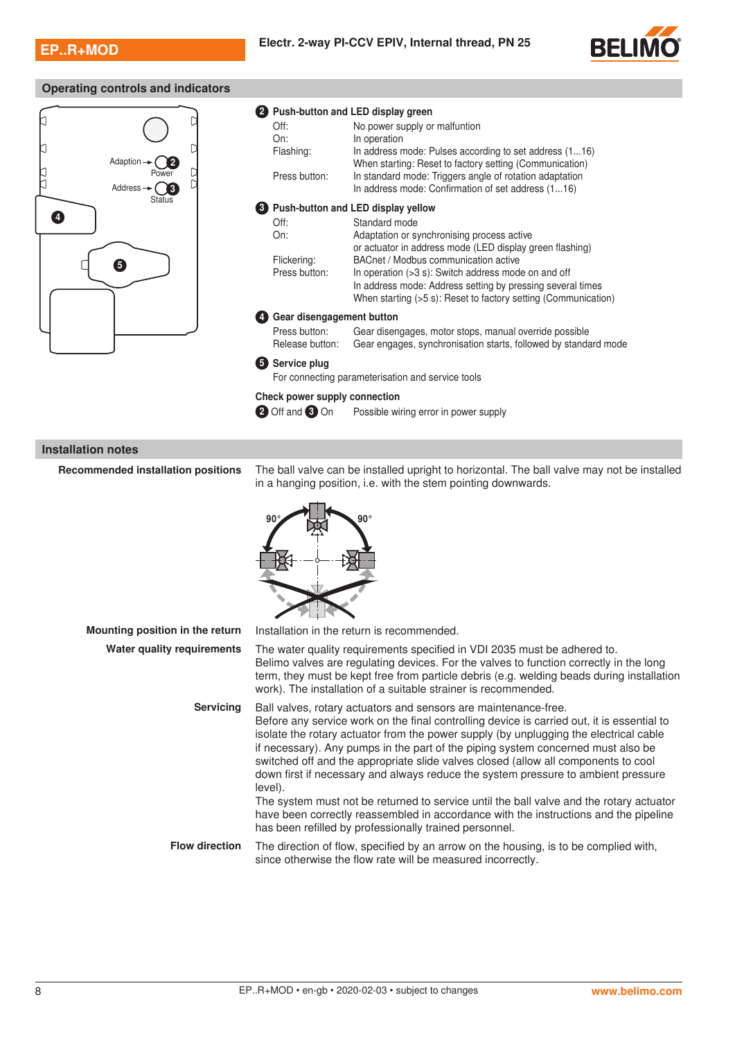

# **Operating controls and indicators**



|                               | Push-button and LED display green                                                                                 |
|-------------------------------|-------------------------------------------------------------------------------------------------------------------|
| Off:                          | No power supply or malfuntion                                                                                     |
| On:                           | In operation                                                                                                      |
| Flashing:                     | In address mode: Pulses according to set address (116)<br>When starting: Reset to factory setting (Communication) |
| Press button:                 | In standard mode: Triggers angle of rotation adaptation<br>In address mode: Confirmation of set address (116)     |
|                               | <b>3</b> Push-button and LED display yellow                                                                       |
| Off:                          | Standard mode                                                                                                     |
| On:                           | Adaptation or synchronising process active                                                                        |
|                               | or actuator in address mode (LED display green flashing)                                                          |
| Flickering:                   | BACnet / Modbus communication active                                                                              |
| Press button:                 | In operation $(>3 s)$ : Switch address mode on and off                                                            |
|                               | In address mode: Address setting by pressing several times                                                        |
|                               | When starting (>5 s): Reset to factory setting (Communication)                                                    |
| Gear disengagement button     |                                                                                                                   |
| Press button:                 | Gear disengages, motor stops, manual override possible                                                            |
| Release button:               | Gear engages, synchronisation starts, followed by standard mode                                                   |
| <b>5</b> Service plug         |                                                                                                                   |
|                               | For connecting parameterisation and service tools                                                                 |
| Check power supply connection |                                                                                                                   |
| 2 Off and 3 On                | Possible wiring error in power supply                                                                             |

## **Installation notes**

**Recommended installation positions** The ball valve can be installed upright to horizontal. The ball valve may not be installed in a hanging position, i.e. with the stem pointing downwards.



| Mounting position in the return | Installation in the return is recommended.                                                                                                                                                                                                                                                                                                                                                                                                                                                                                                                                                                                                                                                                                                                                    |
|---------------------------------|-------------------------------------------------------------------------------------------------------------------------------------------------------------------------------------------------------------------------------------------------------------------------------------------------------------------------------------------------------------------------------------------------------------------------------------------------------------------------------------------------------------------------------------------------------------------------------------------------------------------------------------------------------------------------------------------------------------------------------------------------------------------------------|
| Water quality requirements      | The water quality requirements specified in VDI 2035 must be adhered to.<br>Belimo valves are regulating devices. For the valves to function correctly in the long<br>term, they must be kept free from particle debris (e.g. welding beads during installation<br>work). The installation of a suitable strainer is recommended.                                                                                                                                                                                                                                                                                                                                                                                                                                             |
| <b>Servicing</b>                | Ball valves, rotary actuators and sensors are maintenance-free.<br>Before any service work on the final controlling device is carried out, it is essential to<br>isolate the rotary actuator from the power supply (by unplugging the electrical cable<br>if necessary). Any pumps in the part of the piping system concerned must also be<br>switched off and the appropriate slide valves closed (allow all components to cool<br>down first if necessary and always reduce the system pressure to ambient pressure<br>level).<br>The system must not be returned to service until the ball valve and the rotary actuator<br>have been correctly reassembled in accordance with the instructions and the pipeline<br>has been refilled by professionally trained personnel. |
| <b>Flow direction</b>           | The direction of flow, specified by an arrow on the housing, is to be complied with,<br>since otherwise the flow rate will be measured incorrectly.                                                                                                                                                                                                                                                                                                                                                                                                                                                                                                                                                                                                                           |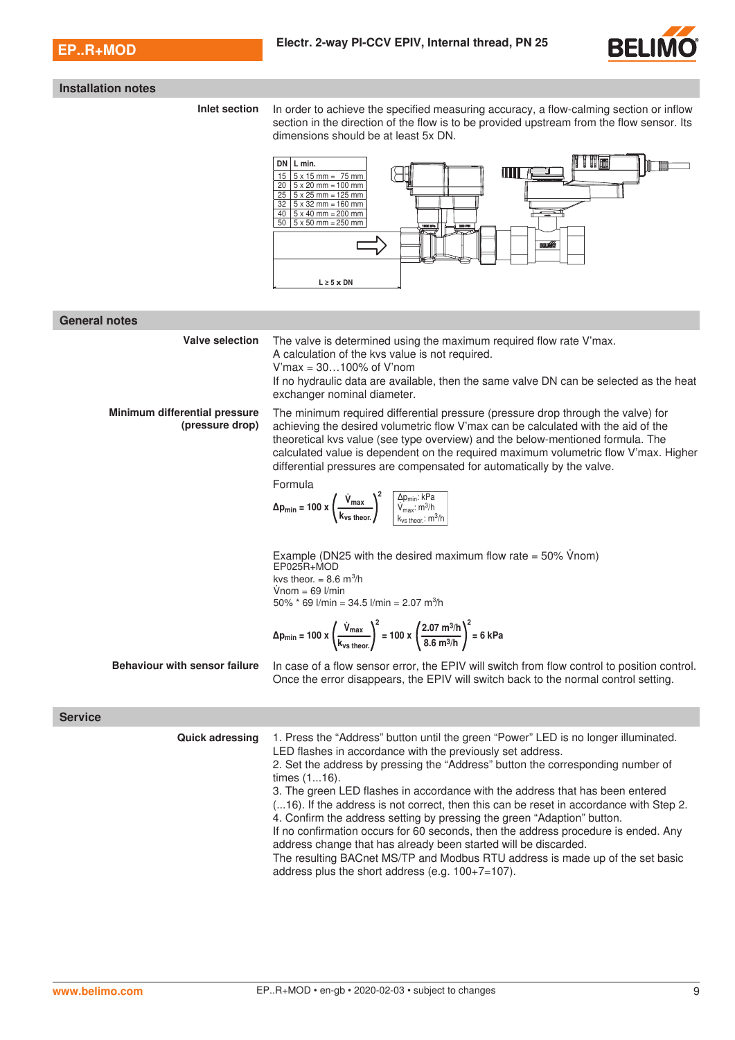

#### **Installation notes**

**Inlet section** In order to achieve the specified measuring accuracy, a flow-calming section or inflow section in the direction of the flow is to be provided upstream from the flow sensor. Its dimensions should be at least 5x DN.



#### **General notes**

**Valve selection** The valve is determined using the maximum required flow rate V'max. A calculation of the kvs value is not required. V'max = 30…100% of V'nom If no hydraulic data are available, then the same valve DN can be selected as the heat exchanger nominal diameter. **Minimum differential pressure (pressure drop)** The minimum required differential pressure (pressure drop through the valve) for achieving the desired volumetric flow V'max can be calculated with the aid of the theoretical kvs value (see type overview) and the below-mentioned formula. The calculated value is dependent on the required maximum volumetric flow V'max. Higher differential pressures are compensated for automatically by the valve. Formula

Δp<sub>min</sub> = 100 x  $\left(\frac{V_{\text{max}}}{I}\right)$ kvs theor. <sup>2</sup> ∆pmin: kPa  $V_{\sf max}$ : m<sup>3</sup>/h  $k_{vs}$  theor.:  $m^3/h$ 

Example (DN25 with the desired maximum flow rate =  $50\%$  Vnom) EP025R+MOD kvs theor.  $= 8.6 \text{ m}^3\text{/h}$  $V$ nom = 69 l/min 50% \* 69 l/min = 34.5 l/min = 2.07 m<sup>3</sup>/h

$$
\Delta p_{\min} = 100 \times \left(\frac{\dot{V}_{\max}}{k_{\text{vs theor}}}\right)^2 = 100 \times \left(\frac{2.07 \text{ m}^3/\text{h}}{8.6 \text{ m}^3/\text{h}}\right)^2 = 6 \text{ kPa}
$$

**Behaviour with sensor failure** In case of a flow sensor error, the EPIV will switch from flow control to position control. Once the error disappears, the EPIV will switch back to the normal control setting.

#### **Service**

**Quick adressing** 1. Press the "Address" button until the green "Power" LED is no longer illuminated. LED flashes in accordance with the previously set address. 2. Set the address by pressing the "Address" button the corresponding number of times (1...16). 3. The green LED flashes in accordance with the address that has been entered (...16). If the address is not correct, then this can be reset in accordance with Step 2. 4. Confirm the address setting by pressing the green "Adaption" button. If no confirmation occurs for 60 seconds, then the address procedure is ended. Any address change that has already been started will be discarded. The resulting BACnet MS/TP and Modbus RTU address is made up of the set basic address plus the short address (e.g. 100+7=107).